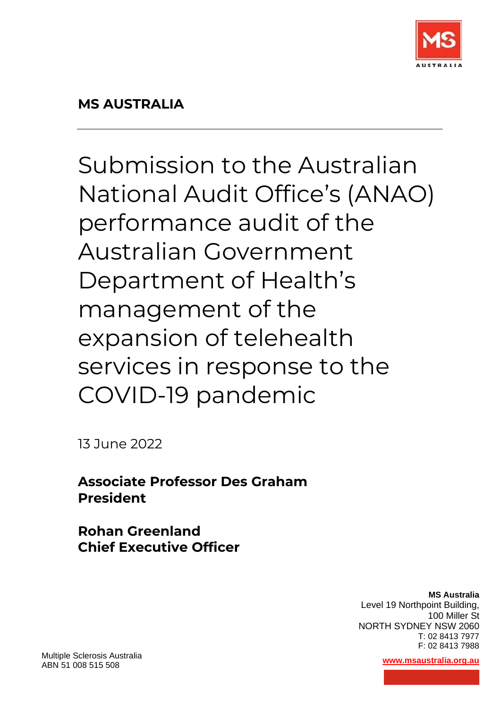

Submission to the Australian National Audit Office's (ANAO) performance audit of the Australian Government Department of Health's management of the expansion of telehealth services in response to the COVID-19 pandemic

13 June 2022

**Associate Professor Des Graham President**

**Rohan Greenland Chief Executive Officer**

> **MS Australia**  Level 19 Northpoint Building, 100 Miller St NORTH SYDNEY NSW 2060 T: 02 8413 7977 F: 02 8413 7988

Multiple Sclerosis Australia ABN 51 008 515 508 **[www.msaustralia.org.au](http://www.msaustralia.org.au/)**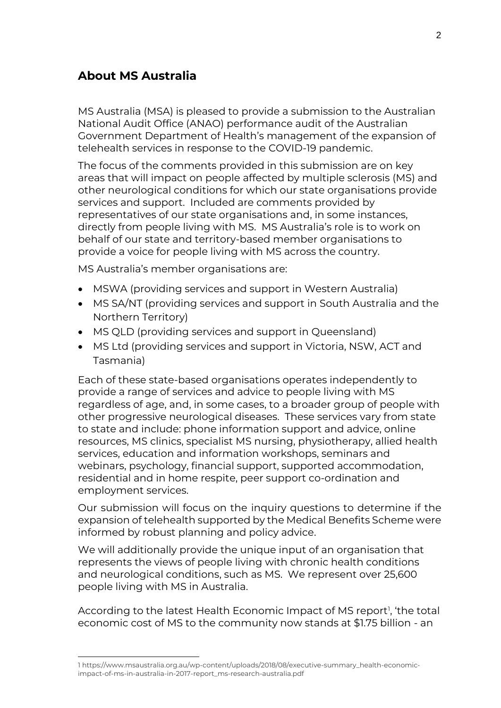## **About MS Australia**

MS Australia (MSA) is pleased to provide a submission to the Australian National Audit Office (ANAO) performance audit of the Australian Government Department of Health's management of the expansion of telehealth services in response to the COVID-19 pandemic.

The focus of the comments provided in this submission are on key areas that will impact on people affected by multiple sclerosis (MS) and other neurological conditions for which our state organisations provide services and support. Included are comments provided by representatives of our state organisations and, in some instances, directly from people living with MS. MS Australia's role is to work on behalf of our state and territory-based member organisations to provide a voice for people living with MS across the country.

MS Australia's member organisations are:

- MSWA (providing services and support in Western Australia)
- MS SA/NT (providing services and support in South Australia and the Northern Territory)
- MS QLD (providing services and support in Queensland)
- MS Ltd (providing services and support in Victoria, NSW, ACT and Tasmania)

Each of these state-based organisations operates independently to provide a range of services and advice to people living with MS regardless of age, and, in some cases, to a broader group of people with other progressive neurological diseases. These services vary from state to state and include: phone information support and advice, online resources, MS clinics, specialist MS nursing, physiotherapy, allied health services, education and information workshops, seminars and webinars, psychology, financial support, supported accommodation, residential and in home respite, peer support co-ordination and employment services.

Our submission will focus on the inquiry questions to determine if the expansion of telehealth supported by the Medical Benefits Scheme were informed by robust planning and policy advice.

We will additionally provide the unique input of an organisation that represents the views of people living with chronic health conditions and neurological conditions, such as MS. We represent over 25,600 people living with MS in Australia.

According to the latest Health Economic Impact of MS report<sup>1</sup>, 'the total economic cost of MS to the community now stands at \$1.75 billion - an

<sup>1</sup> https://www.msaustralia.org.au/wp-content/uploads/2018/08/executive-summary\_health-economicimpact-of-ms-in-australia-in-2017-report\_ms-research-australia.pdf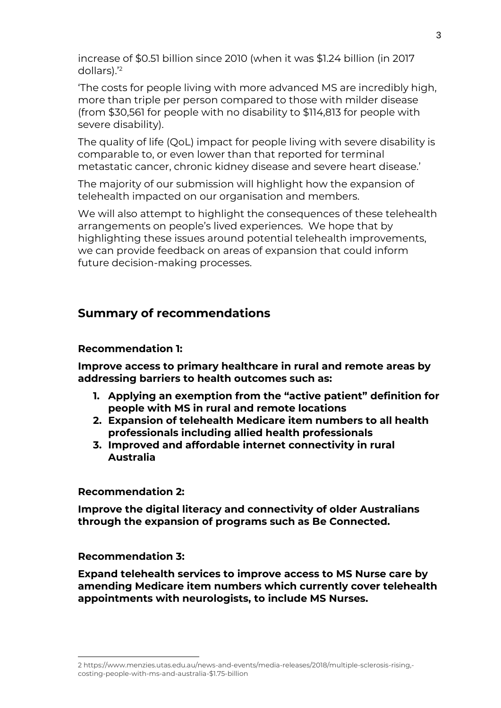increase of \$0.51 billion since 2010 (when it was \$1.24 billion (in 2017 dollars).'<sup>2</sup>

'The costs for people living with more advanced MS are incredibly high, more than triple per person compared to those with milder disease (from \$30,561 for people with no disability to \$114,813 for people with severe disability).

The quality of life (QoL) impact for people living with severe disability is comparable to, or even lower than that reported for terminal metastatic cancer, chronic kidney disease and severe heart disease.'

The majority of our submission will highlight how the expansion of telehealth impacted on our organisation and members.

We will also attempt to highlight the consequences of these telehealth arrangements on people's lived experiences. We hope that by highlighting these issues around potential telehealth improvements, we can provide feedback on areas of expansion that could inform future decision-making processes.

## **Summary of recommendations**

### **Recommendation 1:**

**Improve access to primary healthcare in rural and remote areas by addressing barriers to health outcomes such as:**

- **1. Applying an exemption from the "active patient" definition for people with MS in rural and remote locations**
- **2. Expansion of telehealth Medicare item numbers to all health professionals including allied health professionals**
- **3. Improved and affordable internet connectivity in rural Australia**

**Recommendation 2:** 

**Improve the digital literacy and connectivity of older Australians through the expansion of programs such as Be Connected.**

**Recommendation 3:** 

**Expand telehealth services to improve access to MS Nurse care by amending Medicare item numbers which currently cover telehealth appointments with neurologists, to include MS Nurses.**

<sup>2</sup> https://www.menzies.utas.edu.au/news-and-events/media-releases/2018/multiple-sclerosis-rising, costing-people-with-ms-and-australia-\$1.75-billion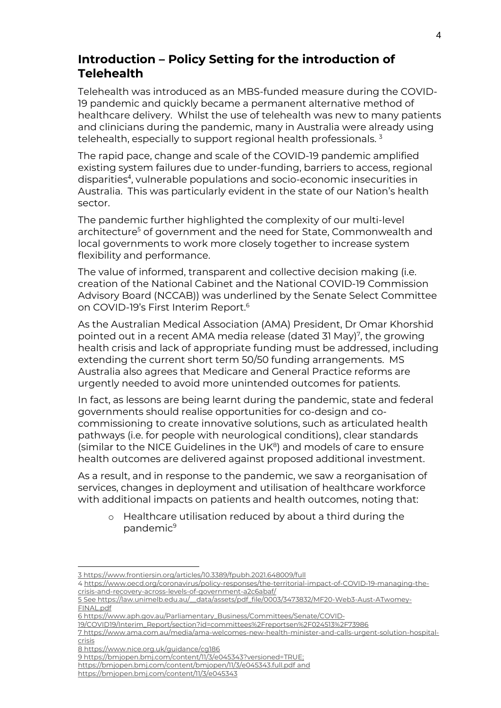## **Introduction – Policy Setting for the introduction of Telehealth**

Telehealth was introduced as an MBS-funded measure during the COVID-19 pandemic and quickly became a permanent alternative method of healthcare delivery. Whilst the use of telehealth was new to many patients and clinicians during the pandemic, many in Australia were already using telehealth, especially to support regional health professionals.<sup>3</sup>

The rapid pace, change and scale of the COVID-19 pandemic amplified existing system failures due to under-funding, barriers to access, regional disparities<sup>4</sup>, vulnerable populations and socio-economic insecurities in Australia. This was particularly evident in the state of our Nation's health sector.

The pandemic further highlighted the complexity of our multi-level architecture<sup>5</sup> of government and the need for State, Commonwealth and local governments to work more closely together to increase system flexibility and performance.

The value of informed, transparent and collective decision making (i.e. creation of the National Cabinet and the National COVID-19 Commission Advisory Board (NCCAB)) was underlined by the Senate Select Committee on COVID-19's First Interim Report. 6

As the Australian Medical Association (AMA) President, Dr Omar Khorshid pointed out in a recent AMA media release (dated 31 May)<sup>7</sup>, the growing health crisis and lack of appropriate funding must be addressed, including extending the current short term 50/50 funding arrangements. MS Australia also agrees that Medicare and General Practice reforms are urgently needed to avoid more unintended outcomes for patients.

In fact, as lessons are being learnt during the pandemic, state and federal governments should realise opportunities for co-design and cocommissioning to create innovative solutions, such as articulated health pathways (i.e. for people with neurological conditions), clear standards (similar to the NICE Guidelines in the  $UK<sup>8</sup>$ ) and models of care to ensure health outcomes are delivered against proposed additional investment.

As a result, and in response to the pandemic, we saw a reorganisation of services, changes in deployment and utilisation of healthcare workforce with additional impacts on patients and health outcomes, noting that:

o Healthcare utilisation reduced by about a third during the pandemic<sup>9</sup>

6 https://www.aph.gov.au/Parliamentary\_Business/Committees/Senate/COVID-

<sup>3</sup> https://www.frontiersin.org/articles/10.3389/fpubh.2021.648009/full

<sup>4</sup> [https://www.oecd.org/coronavirus/policy-responses/the-territorial-impact-of-COVID-19-managing-the](https://www.oecd.org/coronavirus/policy-responses/the-territorial-impact-of-covid-19-managing-the-crisis-and-recovery-across-levels-of-government-a2c6abaf/)[crisis-and-recovery-across-levels-of-government-a2c6abaf/](https://www.oecd.org/coronavirus/policy-responses/the-territorial-impact-of-covid-19-managing-the-crisis-and-recovery-across-levels-of-government-a2c6abaf/)

<sup>5</sup> See [https://law.unimelb.edu.au/\\_\\_data/assets/pdf\\_file/0003/3473832/MF20-Web3-Aust-ATwomey-](https://law.unimelb.edu.au/__data/assets/pdf_file/0003/3473832/MF20-Web3-Aust-ATwomey-FINAL.pdf)[FINAL.pdf](https://law.unimelb.edu.au/__data/assets/pdf_file/0003/3473832/MF20-Web3-Aust-ATwomey-FINAL.pdf)

<sup>19/</sup>COVID19/Interim\_Report/section?id=committees%2Freportsen%2F024513%2F73986

<sup>7</sup> https://www.ama.com.au/media/ama-welcomes-new-health-minister-and-calls-urgent-solution-hospitalcrisis

<sup>8</sup> https://www.nice.org.uk/guidance/cg186

<sup>9</sup> [https://bmjopen.bmj.com/content/11/3/e045343?versioned=TRUE;](https://bmjopen.bmj.com/content/11/3/e045343?versioned=TRUE) 

<https://bmjopen.bmj.com/content/bmjopen/11/3/e045343.full.pdf> and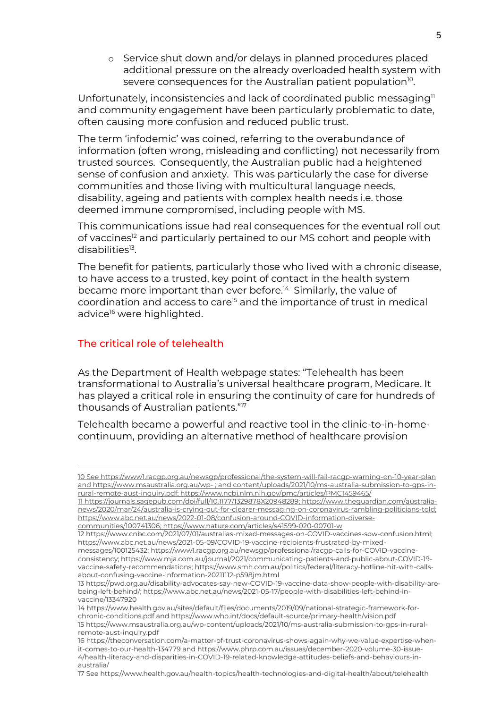o Service shut down and/or delays in planned procedures placed additional pressure on the already overloaded health system with severe consequences for the Australian patient population<sup>10</sup>.

Unfortunately, inconsistencies and lack of coordinated public messaging $\mathbb{I}^1$ and community engagement have been particularly problematic to date, often causing more confusion and reduced public trust.

The term 'infodemic' was coined, referring to the overabundance of information (often wrong, misleading and conflicting) not necessarily from trusted sources. Consequently, the Australian public had a heightened sense of confusion and anxiety. This was particularly the case for diverse communities and those living with multicultural language needs, disability, ageing and patients with complex health needs i.e. those deemed immune compromised, including people with MS.

This communications issue had real consequences for the eventual roll out of vaccines<sup>12</sup> and particularly pertained to our MS cohort and people with disabilities<sup>13</sup>.

The benefit for patients, particularly those who lived with a chronic disease, to have access to a trusted, key point of contact in the health system became more important than ever before.<sup>14</sup> Similarly, the value of coordination and access to care<sup>15</sup> and the importance of trust in medical advice<sup>16</sup> were highlighted.

### The critical role of telehealth

As the Department of Health webpage states: "Telehealth has been transformational to Australia's universal healthcare program, Medicare. It has played a critical role in ensuring the continuity of care for hundreds of thousands of Australian patients."<sup>17</sup>

Telehealth became a powerful and reactive tool in the clinic-to-in-homecontinuum, providing an alternative method of healthcare provision

<sup>10</sup> Se[e https://www1.racgp.org.au/newsgp/professional/the-system-will-fail-racgp-warning-on-10-year-plan](https://www1.racgp.org.au/newsgp/professional/the-system-will-fail-racgp-warning-on-10-year-plan) and https://www.msaustralia.org.au/wp- [; and content/uploads/2021/10/ms-australia-submission-to-gps-in](https://www.msaustralia.org.au/wp-%20;%20and%20content/uploads/2021/10/ms-australia-submission-to-gps-in-rural-remote-aust-inquiry.pdf)[rural-remote-aust-inquiry.pdf;](https://www.msaustralia.org.au/wp-%20;%20and%20content/uploads/2021/10/ms-australia-submission-to-gps-in-rural-remote-aust-inquiry.pdf) https://www.ncbi.nlm.nih.gov/pmc/articles/PMC1459465/

<sup>11</sup> [https://journals.sagepub.com/doi/full/10.1177/1329878X20948289;](https://journals.sagepub.com/doi/full/10.1177/1329878X20948289) [https://www.theguardian.com/australia](https://www.theguardian.com/australia-news/2020/mar/24/australia-is-crying-out-for-clearer-messaging-on-coronavirus-rambling-politicians-told)[news/2020/mar/24/australia-is-crying-out-for-clearer-messaging-on-coronavirus-rambling-politicians-told;](https://www.theguardian.com/australia-news/2020/mar/24/australia-is-crying-out-for-clearer-messaging-on-coronavirus-rambling-politicians-told)  [https://www.abc.net.au/news/2022-01-08/confusion-around-COVID-information-diverse](https://www.abc.net.au/news/2022-01-08/confusion-around-covid-information-diverse-communities/100741306)[communities/100741306;](https://www.abc.net.au/news/2022-01-08/confusion-around-covid-information-diverse-communities/100741306)<https://www.nature.com/articles/s41599-020-00701-w>

<sup>12</sup> [https://www.cnbc.com/2021/07/01/australias-mixed-messages-on-COVID-vaccines-sow-confusion.html;](https://www.cnbc.com/2021/07/01/australias-mixed-messages-on-covid-vaccines-sow-confusion.html) [https://www.abc.net.au/news/2021-05-09/COVID-19-vaccine-recipients-frustrated-by-mixed-](https://www.abc.net.au/news/2021-05-09/covid-19-vaccine-recipients-frustrated-by-mixed-messages/100125432)

[messages/100125432;](https://www.abc.net.au/news/2021-05-09/covid-19-vaccine-recipients-frustrated-by-mixed-messages/100125432) [https://www1.racgp.org.au/newsgp/professional/racgp-calls-for-COVID-vaccine](https://www1.racgp.org.au/newsgp/professional/racgp-calls-for-covid-vaccine-consistency)[consistency;](https://www1.racgp.org.au/newsgp/professional/racgp-calls-for-covid-vaccine-consistency) [https://www.mja.com.au/journal/2021/communicating-patients-and-public-about-COVID-19](https://www.mja.com.au/journal/2021/communicating-patients-and-public-about-covid-19-vaccine-safety-recommendations) [vaccine-safety-recommendations;](https://www.mja.com.au/journal/2021/communicating-patients-and-public-about-covid-19-vaccine-safety-recommendations) [https://www.smh.com.au/politics/federal/literacy-hotline-hit-with-calls](https://www.smh.com.au/politics/federal/literacy-hotline-hit-with-calls-about-confusing-vaccine-information-20211112-p598jm.html)[about-confusing-vaccine-information-20211112-p598jm.html](https://www.smh.com.au/politics/federal/literacy-hotline-hit-with-calls-about-confusing-vaccine-information-20211112-p598jm.html)

<sup>13</sup> [https://pwd.org.au/disability-advocates-say-new-COVID-19-vaccine-data-show-people-with-disability-are](https://pwd.org.au/disability-advocates-say-new-covid-19-vaccine-data-show-people-with-disability-are-being-left-behind/)[being-left-behind/;](https://pwd.org.au/disability-advocates-say-new-covid-19-vaccine-data-show-people-with-disability-are-being-left-behind/) [https://www.abc.net.au/news/2021-05-17/people-with-disabilities-left-behind-in](https://www.abc.net.au/news/2021-05-17/people-with-disabilities-left-behind-in-vaccine/13347920)[vaccine/13347920](https://www.abc.net.au/news/2021-05-17/people-with-disabilities-left-behind-in-vaccine/13347920)

<sup>14</sup> [https://www.health.gov.au/sites/default/files/documents/2019/09/national-strategic-framework-for](https://www.health.gov.au/sites/default/files/documents/2019/09/national-strategic-framework-for-chronic-conditions.pdf)[chronic-conditions.pdf](https://www.health.gov.au/sites/default/files/documents/2019/09/national-strategic-framework-for-chronic-conditions.pdf) and https://www.who.int/docs/default-source/primary-health/vision.pdf

<sup>15</sup> https://www.msaustralia.org.au/wp-content/uploads/2021/10/ms-australia-submission-to-gps-in-ruralremote-aust-inquiry.pdf

<sup>16</sup> [https://theconversation.com/a-matter-of-trust-coronavirus-shows-again-why-we-value-expertise-when](https://theconversation.com/a-matter-of-trust-coronavirus-shows-again-why-we-value-expertise-when-it-comes-to-our-health-134779)[it-comes-to-our-health-134779](https://theconversation.com/a-matter-of-trust-coronavirus-shows-again-why-we-value-expertise-when-it-comes-to-our-health-134779) and https://www.phrp.com.au/issues/december-2020-volume-30-issue-4/health-literacy-and-disparities-in-COVID-19-related-knowledge-attitudes-beliefs-and-behaviours-inaustralia/

<sup>17</sup> Se[e https://www.health.gov.au/health-topics/health-technologies-and-digital-health/about/telehealth](https://www.health.gov.au/health-topics/health-technologies-and-digital-health/about/telehealth)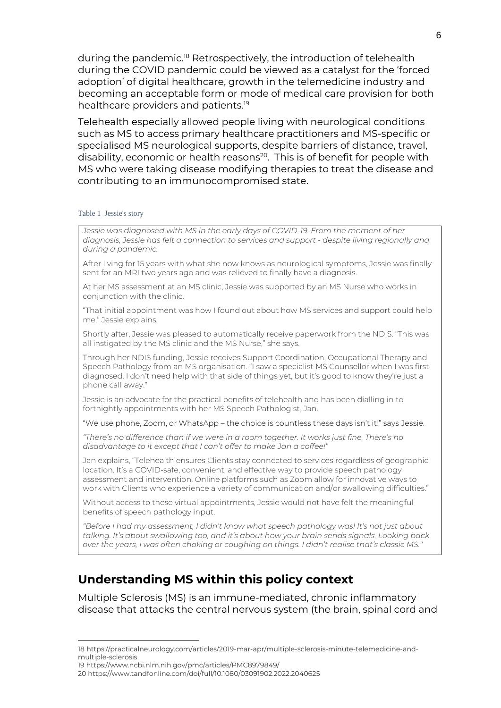during the pandemic.<sup>18</sup> Retrospectively, the introduction of telehealth during the COVID pandemic could be viewed as a catalyst for the 'forced adoption' of digital healthcare, growth in the telemedicine industry and becoming an acceptable form or mode of medical care provision for both healthcare providers and patients. 19

Telehealth especially allowed people living with neurological conditions such as MS to access primary healthcare practitioners and MS-specific or specialised MS neurological supports, despite barriers of distance, travel, disability, economic or health reasons<sup>20</sup>. This is of benefit for people with MS who were taking disease modifying therapies to treat the disease and contributing to an immunocompromised state.

#### Table 1 Jessie's story

*Jessie was diagnosed with MS in the early days of COVID-19. From the moment of her diagnosis, Jessie has felt a connection to services and support - despite living regionally and during a pandemic.*

After living for 15 years with what she now knows as neurological symptoms, Jessie was finally sent for an MRI two years ago and was relieved to finally have a diagnosis.

At her MS assessment at an MS clinic, Jessie was supported by an MS Nurse who works in conjunction with the clinic.

"That initial appointment was how I found out about how MS services and support could help me," Jessie explains.

Shortly after, Jessie was pleased to automatically receive paperwork from the NDIS. "This was all instigated by the MS clinic and the MS Nurse," she says.

Through her NDIS funding, Jessie receives Support Coordination, Occupational Therapy and Speech Pathology from an MS organisation. "I saw a specialist MS Counsellor when I was first diagnosed. I don't need help with that side of things yet, but it's good to know they're just a phone call away."

Jessie is an advocate for the practical benefits of telehealth and has been dialling in to fortnightly appointments with her MS Speech Pathologist, Jan.

"We use phone, Zoom, or WhatsApp – the choice is countless these days isn't it!" says Jessie.

*"There's no difference than if we were in a room together. It works just fine. There's no disadvantage to it except that I can't offer to make Jan a coffee!"*

Jan explains, "Telehealth ensures Clients stay connected to services regardless of geographic location. It's a COVID-safe, convenient, and effective way to provide speech pathology assessment and intervention. Online platforms such as Zoom allow for innovative ways to work with Clients who experience a variety of communication and/or swallowing difficulties."

Without access to these virtual appointments, Jessie would not have felt the meaningful benefits of speech pathology input.

*"Before I had my assessment, I didn't know what speech pathology was! It's not just about talking. It's about swallowing too, and it's about how your brain sends signals. Looking back over the years, I was often choking or coughing on things. I didn't realise that's classic MS."*

## **Understanding MS within this policy context**

Multiple Sclerosis (MS) is an immune-mediated, chronic inflammatory disease that attacks the central nervous system (the brain, spinal cord and

<sup>18</sup> [https://practicalneurology.com/articles/2019-mar-apr/multiple-sclerosis-minute-telemedicine-and](https://practicalneurology.com/articles/2019-mar-apr/multiple-sclerosis-minute-telemedicine-and-multiple-sclerosis)[multiple-sclerosis](https://practicalneurology.com/articles/2019-mar-apr/multiple-sclerosis-minute-telemedicine-and-multiple-sclerosis)

<sup>19</sup> https://www.ncbi.nlm.nih.gov/pmc/articles/PMC8979849/

<sup>20</sup> https://www.tandfonline.com/doi/full/10.1080/03091902.2022.2040625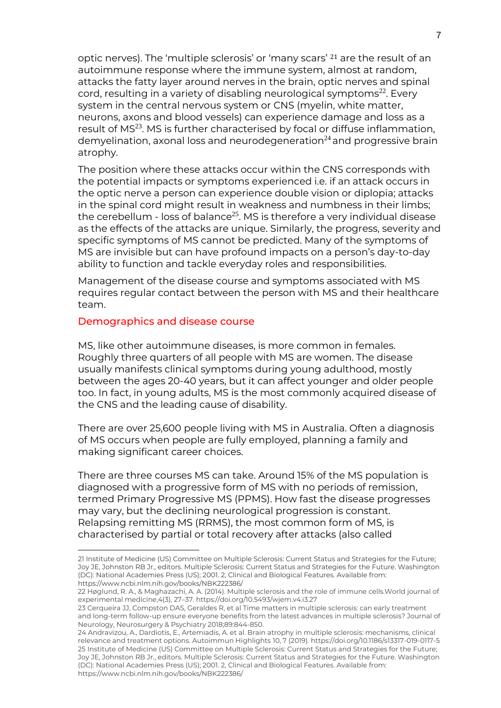optic nerves). The 'multiple sclerosis' or 'many scars' <sup>21</sup> are the result of an autoimmune response where the immune system, almost at random, attacks the fatty layer around nerves in the brain, optic nerves and spinal cord, resulting in a variety of disabling neurological symptoms $^{22}$ . Every system in the central nervous system or CNS (myelin, white matter, neurons, axons and blood vessels) can experience damage and loss as a result of MS<sup>23</sup>. MS is further characterised by focal or diffuse inflammation, demyelination, axonal loss and neurodegeneration<sup>24</sup> and progressive brain atrophy.

The position where these attacks occur within the CNS corresponds with the potential impacts or symptoms experienced i.e. if an attack occurs in the optic nerve a person can experience double vision or diplopia; attacks in the spinal cord might result in weakness and numbness in their limbs; the cerebellum - loss of balance<sup>25</sup>. MS is therefore a very individual disease as the effects of the attacks are unique. Similarly, the progress, severity and specific symptoms of MS cannot be predicted. Many of the symptoms of MS are invisible but can have profound impacts on a person's day-to-day ability to function and tackle everyday roles and responsibilities.

Management of the disease course and symptoms associated with MS requires regular contact between the person with MS and their healthcare team.

### Demographics and disease course

MS, like other autoimmune diseases, is more common in females. Roughly three quarters of all people with MS are women. The disease usually manifests clinical symptoms during young adulthood, mostly between the ages 20-40 years, but it can affect younger and older people too. In fact, in young adults, MS is the most commonly acquired disease of the CNS and the leading cause of disability.

There are over 25,600 people living with MS in Australia. Often a diagnosis of MS occurs when people are fully employed, planning a family and making significant career choices.

There are three courses MS can take. Around 15% of the MS population is diagnosed with a progressive form of MS with no periods of remission, termed Primary Progressive MS (PPMS). How fast the disease progresses may vary, but the declining neurological progression is constant. Relapsing remitting MS (RRMS), the most common form of MS, is characterised by partial or total recovery after attacks (also called

<sup>21</sup> Institute of Medicine (US) Committee on Multiple Sclerosis: Current Status and Strategies for the Future; Joy JE, Johnston RB Jr., editors. Multiple Sclerosis: Current Status and Strategies for the Future. Washington (DC): National Academies Press (US); 2001. 2, Clinical and Biological Features. Available from: https://www.ncbi.nlm.nih.gov/books/NBK222386/

<sup>22</sup> Høglund, R. A., & Maghazachi, A. A. (2014). Multiple sclerosis and the role of immune cells.World journal of experimental medicine,4(3), 27–37. https://doi.org/10.5493/wjem.v4.i3.27

<sup>23</sup> Cerqueira JJ, Compston DAS, Geraldes R, et al Time matters in multiple sclerosis: can early treatment and long-term follow-up ensure everyone benefits from the latest advances in multiple sclerosis? Journal of Neurology, Neurosurgery & Psychiatry 2018;89:844-850.

<sup>24</sup> Andravizou, A., Dardiotis, E., Artemiadis, A. et al. Brain atrophy in multiple sclerosis: mechanisms, clinical relevance and treatment options. Autoimmun Highlights 10, 7 (2019). https://doi.org/10.1186/s13317-019-0117-5 25 Institute of Medicine (US) Committee on Multiple Sclerosis: Current Status and Strategies for the Future; Joy JE, Johnston RB Jr., editors. Multiple Sclerosis: Current Status and Strategies for the Future. Washington (DC): National Academies Press (US); 2001. 2, Clinical and Biological Features. Available from: https://www.ncbi.nlm.nih.gov/books/NBK222386/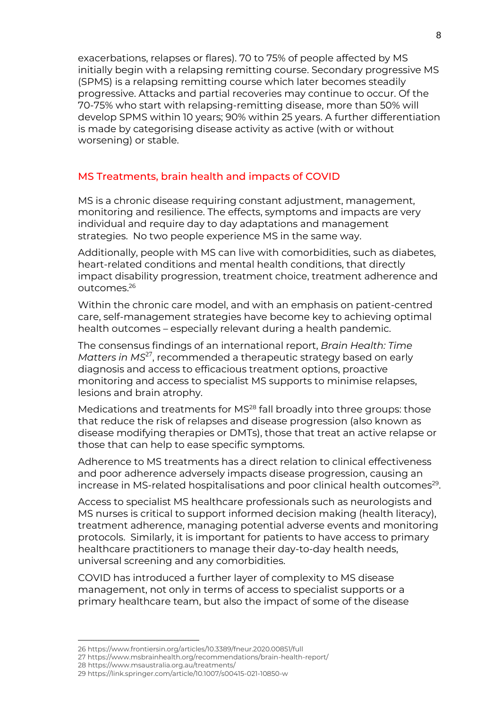exacerbations, relapses or flares). 70 to 75% of people affected by MS initially begin with a relapsing remitting course. Secondary progressive MS (SPMS) is a relapsing remitting course which later becomes steadily progressive. Attacks and partial recoveries may continue to occur. Of the 70-75% who start with relapsing-remitting disease, more than 50% will develop SPMS within 10 years; 90% within 25 years. A further differentiation is made by categorising disease activity as active (with or without worsening) or stable.

### MS Treatments, brain health and impacts of COVID

MS is a chronic disease requiring constant adjustment, management, monitoring and resilience. The effects, symptoms and impacts are very individual and require day to day adaptations and management strategies. No two people experience MS in the same way.

Additionally, people with MS can live with comorbidities, such as diabetes, heart-related conditions and mental health conditions, that directly impact disability progression, treatment choice, treatment adherence and outcomes. 26

Within the chronic care model, and with an emphasis on patient-centred care, self-management strategies have become key to achieving optimal health outcomes – especially relevant during a health pandemic.

The consensus findings of an international report, *Brain Health: Time*  Matters in MS<sup>27</sup>, recommended a therapeutic strategy based on early diagnosis and access to efficacious treatment options, proactive monitoring and access to specialist MS supports to minimise relapses, lesions and brain atrophy.

Medications and treatments for MS<sup>28</sup> fall broadly into three groups: those that reduce the risk of relapses and disease progression (also known as disease modifying therapies or DMTs), those that treat an active relapse or those that can help to ease specific symptoms.

Adherence to MS treatments has a direct relation to clinical effectiveness and poor adherence adversely impacts disease progression, causing an increase in MS-related hospitalisations and poor clinical health outcomes<sup>29</sup>.

Access to specialist MS healthcare professionals such as neurologists and MS nurses is critical to support informed decision making (health literacy), treatment adherence, managing potential adverse events and monitoring protocols. Similarly, it is important for patients to have access to primary healthcare practitioners to manage their day-to-day health needs, universal screening and any comorbidities.

COVID has introduced a further layer of complexity to MS disease management, not only in terms of access to specialist supports or a primary healthcare team, but also the impact of some of the disease

<sup>26</sup> https://www.frontiersin.org/articles/10.3389/fneur.2020.00851/full

<sup>27</sup> <https://www.msbrainhealth.org/recommendations/brain-health-report/>

<sup>28</sup> https://www.msaustralia.org.au/treatments/

<sup>29</sup> https://link.springer.com/article/10.1007/s00415-021-10850-w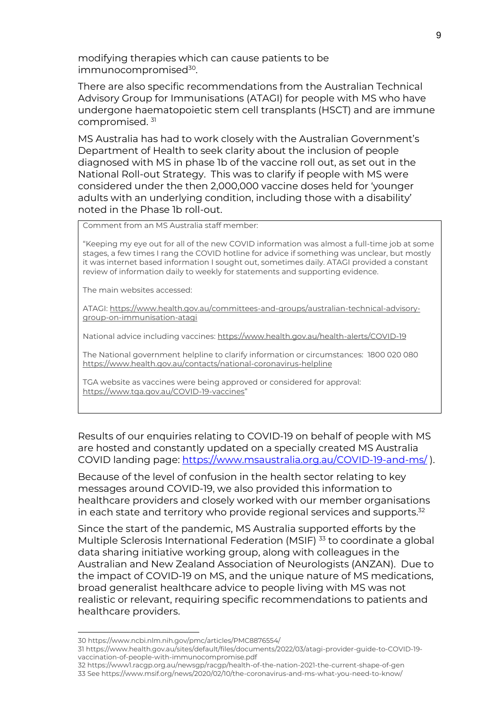modifying therapies which can cause patients to be immunocompromised<sup>30</sup>.

There are also specific recommendations from the Australian Technical Advisory Group for Immunisations (ATAGI) for people with MS who have undergone haematopoietic stem cell transplants (HSCT) and are immune compromised. 31

MS Australia has had to work closely with the Australian Government's Department of Health to seek clarity about the inclusion of people diagnosed with MS in phase 1b of the vaccine roll out, as set out in the National Roll-out Strategy. This was to clarify if people with MS were considered under the then 2,000,000 vaccine doses held for 'younger adults with an underlying condition, including those with a disability' noted in the Phase 1b roll-out.

Comment from an MS Australia staff member:

"Keeping my eye out for all of the new COVID information was almost a full-time job at some stages, a few times I rang the COVID hotline for advice if something was unclear, but mostly it was internet based information I sought out, sometimes daily. ATAGI provided a constant review of information daily to weekly for statements and supporting evidence.

The main websites accessed:

ATAGI[: https://www.health.gov.au/committees-and-groups/australian-technical-advisory](https://aus01.safelinks.protection.outlook.com/?url=https%3A%2F%2Fwww.health.gov.au%2Fcommittees-and-groups%2Faustralian-technical-advisory-group-on-immunisation-atagi&data=05%7C01%7CBea.Beswick%40msaustralia.org.au%7C3d651a747ab24d3cf37408da43f5bffd%7Cc2b703a7d9e14719a839919e5c370aa1%7C0%7C0%7C637897020034605615%7CUnknown%7CTWFpbGZsb3d8eyJWIjoiMC4wLjAwMDAiLCJQIjoiV2luMzIiLCJBTiI6Ik1haWwiLCJXVCI6Mn0%3D%7C3000%7C%7C%7C&sdata=MCEI2hcU4%2FeUUnYosdIl1WYLYcmv%2FZtZESdjU4ZK6TE%3D&reserved=0)[group-on-immunisation-atagi](https://aus01.safelinks.protection.outlook.com/?url=https%3A%2F%2Fwww.health.gov.au%2Fcommittees-and-groups%2Faustralian-technical-advisory-group-on-immunisation-atagi&data=05%7C01%7CBea.Beswick%40msaustralia.org.au%7C3d651a747ab24d3cf37408da43f5bffd%7Cc2b703a7d9e14719a839919e5c370aa1%7C0%7C0%7C637897020034605615%7CUnknown%7CTWFpbGZsb3d8eyJWIjoiMC4wLjAwMDAiLCJQIjoiV2luMzIiLCJBTiI6Ik1haWwiLCJXVCI6Mn0%3D%7C3000%7C%7C%7C&sdata=MCEI2hcU4%2FeUUnYosdIl1WYLYcmv%2FZtZESdjU4ZK6TE%3D&reserved=0)

National advice including vaccines[: https://www.health.gov.au/health-alerts/COVID-19](https://www.health.gov.au/health-alerts/covid-19)

The National government helpline to clarify information or circumstances: 1800 020 080 [https://www.health.gov.au/contacts/national-coronavirus-helpline](https://aus01.safelinks.protection.outlook.com/?url=https%3A%2F%2Fwww.health.gov.au%2Fcontacts%2Fnational-coronavirus-helpline&data=05%7C01%7CBea.Beswick%40msaustralia.org.au%7C3d651a747ab24d3cf37408da43f5bffd%7Cc2b703a7d9e14719a839919e5c370aa1%7C0%7C0%7C637897020034605615%7CUnknown%7CTWFpbGZsb3d8eyJWIjoiMC4wLjAwMDAiLCJQIjoiV2luMzIiLCJBTiI6Ik1haWwiLCJXVCI6Mn0%3D%7C3000%7C%7C%7C&sdata=GR9DsNQQ4UZI6sVCsTLg%2B5z%2FFjUCpDihlFWVwK8PAyY%3D&reserved=0)

TGA website as vaccines were being approved or considered for approval: [https://www.tga.gov.au/COVID-19-vaccines](https://aus01.safelinks.protection.outlook.com/?url=https%3A%2F%2Fwww.tga.gov.au%2Fcovid-19-vaccines&data=05%7C01%7CBea.Beswick%40msaustralia.org.au%7C3d651a747ab24d3cf37408da43f5bffd%7Cc2b703a7d9e14719a839919e5c370aa1%7C0%7C0%7C637897020034761841%7CUnknown%7CTWFpbGZsb3d8eyJWIjoiMC4wLjAwMDAiLCJQIjoiV2luMzIiLCJBTiI6Ik1haWwiLCJXVCI6Mn0%3D%7C3000%7C%7C%7C&sdata=Bv3aWHZ82TgcXZs%2BZhT%2FCUE0x%2FH42n88I%2FbzdWppJAU%3D&reserved=0)"

Results of our enquiries relating to COVID-19 on behalf of people with MS are hosted and constantly updated on a specially created MS Australia COVID landing page: [https://www.msaustralia.org.au/COVID-19-and-ms/](https://www.msaustralia.org.au/covid-19-and-ms/) ).

Because of the level of confusion in the health sector relating to key messages around COVID-19, we also provided this information to healthcare providers and closely worked with our member organisations in each state and territory who provide regional services and supports. 32

Since the start of the pandemic, MS Australia supported efforts by the Multiple Sclerosis International Federation (MSIF)<sup>33</sup> to coordinate a global data sharing initiative working group, along with colleagues in the Australian and New Zealand Association of Neurologists (ANZAN). Due to the impact of COVID-19 on MS, and the unique nature of MS medications, broad generalist healthcare advice to people living with MS was not realistic or relevant, requiring specific recommendations to patients and healthcare providers.

<sup>30</sup> https://www.ncbi.nlm.nih.gov/pmc/articles/PMC8876554/

<sup>31</sup> https://www.health.gov.au/sites/default/files/documents/2022/03/atagi-provider-guide-to-COVID-19 vaccination-of-people-with-immunocompromise.pdf

<sup>32</sup> https://www1.racgp.org.au/newsgp/racgp/health-of-the-nation-2021-the-current-shape-of-gen 33 See https://www.msif.org/news/2020/02/10/the-coronavirus-and-ms-what-you-need-to-know/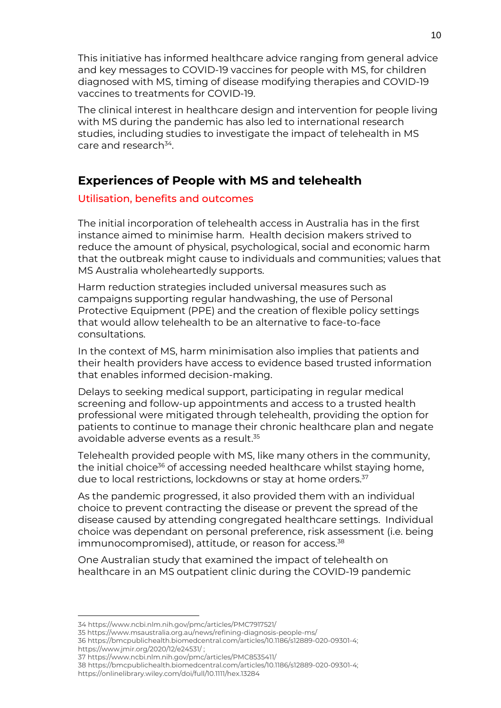This initiative has informed healthcare advice ranging from general advice and key messages to COVID-19 vaccines for people with MS, for children diagnosed with MS, timing of disease modifying therapies and COVID-19 vaccines to treatments for COVID-19.

The clinical interest in healthcare design and intervention for people living with MS during the pandemic has also led to international research studies, including studies to investigate the impact of telehealth in MS care and research<sup>34</sup>.

# **Experiences of People with MS and telehealth**

### Utilisation, benefits and outcomes

The initial incorporation of telehealth access in Australia has in the first instance aimed to minimise harm. Health decision makers strived to reduce the amount of physical, psychological, social and economic harm that the outbreak might cause to individuals and communities; values that MS Australia wholeheartedly supports.

Harm reduction strategies included universal measures such as campaigns supporting regular handwashing, the use of Personal Protective Equipment (PPE) and the creation of flexible policy settings that would allow telehealth to be an alternative to face-to-face consultations.

In the context of MS, harm minimisation also implies that patients and their health providers have access to evidence based trusted information that enables informed decision-making.

Delays to seeking medical support, participating in regular medical screening and follow-up appointments and access to a trusted health professional were mitigated through telehealth, providing the option for patients to continue to manage their chronic healthcare plan and negate avoidable adverse events as a result. 35

Telehealth provided people with MS, like many others in the community, the initial choice<sup>36</sup> of accessing needed healthcare whilst staying home, due to local restrictions, lockdowns or stay at home orders.<sup>37</sup>

As the pandemic progressed, it also provided them with an individual choice to prevent contracting the disease or prevent the spread of the disease caused by attending congregated healthcare settings. Individual choice was dependant on personal preference, risk assessment (i.e. being immunocompromised), attitude, or reason for access.<sup>38</sup>

One Australian study that examined the impact of telehealth on healthcare in an MS outpatient clinic during the COVID-19 pandemic

<sup>34</sup> https://www.ncbi.nlm.nih.gov/pmc/articles/PMC7917521/

<sup>35</sup> https://www.msaustralia.org.au/news/refining-diagnosis-people-ms/

<sup>36</sup> [https://bmcpublichealth.biomedcentral.com/articles/10.1186/s12889-020-09301-4;](https://bmcpublichealth.biomedcentral.com/articles/10.1186/s12889-020-09301-4) 

<https://www.jmir.org/2020/12/e24531/> ;

<sup>37</sup> https://www.ncbi.nlm.nih.gov/pmc/articles/PMC8535411/

<sup>38</sup> [https://bmcpublichealth.biomedcentral.com/articles/10.1186/s12889-020-09301-4;](https://bmcpublichealth.biomedcentral.com/articles/10.1186/s12889-020-09301-4)  https://onlinelibrary.wiley.com/doi/full/10.1111/hex.13284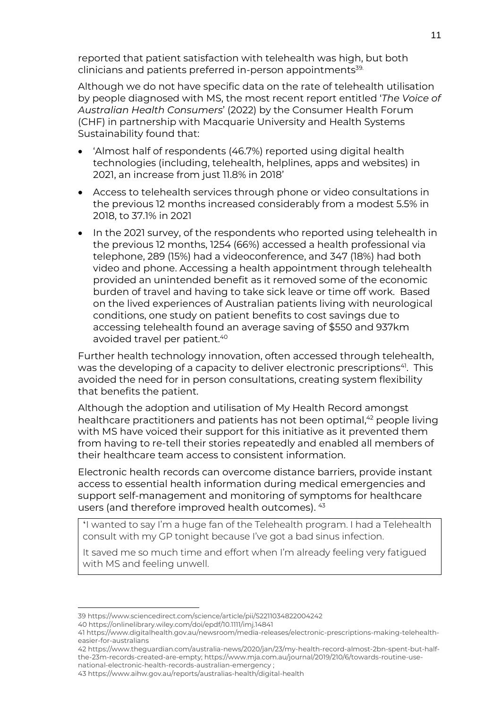reported that patient satisfaction with telehealth was high, but both clinicians and patients preferred in-person appointments<sup>39.</sup>

Although we do not have specific data on the rate of telehealth utilisation by people diagnosed with MS, the most recent report entitled '*The Voice of Australian Health Consumers*' (2022) by the Consumer Health Forum (CHF) in partnership with Macquarie University and Health Systems Sustainability found that:

- 'Almost half of respondents (46.7%) reported using digital health technologies (including, telehealth, helplines, apps and websites) in 2021, an increase from just 11.8% in 2018'
- Access to telehealth services through phone or video consultations in the previous 12 months increased considerably from a modest 5.5% in 2018, to 37.1% in 2021
- In the 2021 survey, of the respondents who reported using telehealth in the previous 12 months, 1254 (66%) accessed a health professional via telephone, 289 (15%) had a videoconference, and 347 (18%) had both video and phone. Accessing a health appointment through telehealth provided an unintended benefit as it removed some of the economic burden of travel and having to take sick leave or time off work. Based on the lived experiences of Australian patients living with neurological conditions, one study on patient benefits to cost savings due to accessing telehealth found an average saving of \$550 and 937km avoided travel per patient. 40

Further health technology innovation, often accessed through telehealth, was the developing of a capacity to deliver electronic prescriptions<sup>41</sup>. This avoided the need for in person consultations, creating system flexibility that benefits the patient.

Although the adoption and utilisation of My Health Record amongst healthcare practitioners and patients has not been optimal, <sup>42</sup> people living with MS have voiced their support for this initiative as it prevented them from having to re-tell their stories repeatedly and enabled all members of their healthcare team access to consistent information.

Electronic health records can overcome distance barriers, provide instant access to essential health information during medical emergencies and support self-management and monitoring of symptoms for healthcare users (and therefore improved health outcomes). 43

'I wanted to say I'm a huge fan of the Telehealth program. I had a Telehealth consult with my GP tonight because I've got a bad sinus infection.

It saved me so much time and effort when I'm already feeling very fatigued with MS and feeling unwell.

<sup>39</sup> https://www.sciencedirect.com/science/article/pii/S2211034822004242

<sup>40</sup> https://onlinelibrary.wiley.com/doi/epdf/10.1111/imj.14841

<sup>41</sup> https://www.digitalhealth.gov.au/newsroom/media-releases/electronic-prescriptions-making-telehealtheasier-for-australians

<sup>42</sup> [https://www.theguardian.com/australia-news/2020/jan/23/my-health-record-almost-2bn-spent-but-half](https://www.theguardian.com/australia-news/2020/jan/23/my-health-record-almost-2bn-spent-but-half-the-23m-records-created-are-empty)[the-23m-records-created-are-empty;](https://www.theguardian.com/australia-news/2020/jan/23/my-health-record-almost-2bn-spent-but-half-the-23m-records-created-are-empty) [https://www.mja.com.au/journal/2019/210/6/towards-routine-use](https://www.mja.com.au/journal/2019/210/6/towards-routine-use-national-electronic-health-records-australian-emergency)[national-electronic-health-records-australian-emergency](https://www.mja.com.au/journal/2019/210/6/towards-routine-use-national-electronic-health-records-australian-emergency) ;

<sup>43</sup> https://www.aihw.gov.au/reports/australias-health/digital-health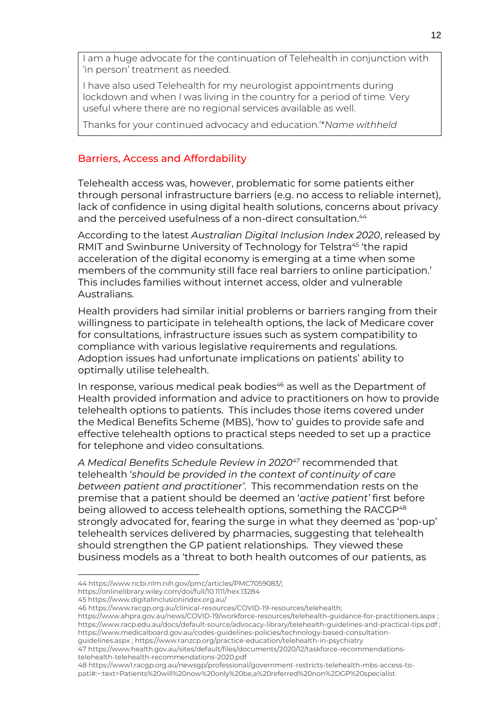I am a huge advocate for the continuation of Telehealth in conjunction with 'in person' treatment as needed.

I have also used Telehealth for my neurologist appointments during lockdown and when I was living in the country for a period of time. Very useful where there are no regional services available as well.

Thanks for your continued advocacy and education.'\**Name withheld*

### Barriers, Access and Affordability

Telehealth access was, however, problematic for some patients either through personal infrastructure barriers (e.g. no access to reliable internet), lack of confidence in using digital health solutions, concerns about privacy and the perceived usefulness of a non-direct consultation.<sup>44</sup>

According to the latest *Australian Digital Inclusion Index 2020*, released by RMIT and Swinburne University of Technology for Telstra<sup>45</sup> 'the rapid acceleration of the digital economy is emerging at a time when some members of the community still face real barriers to online participation.' This includes families without internet access, older and vulnerable Australians.

Health providers had similar initial problems or barriers ranging from their willingness to participate in telehealth options, the lack of Medicare cover for consultations, infrastructure issues such as system compatibility to compliance with various legislative requirements and regulations. Adoption issues had unfortunate implications on patients' ability to optimally utilise telehealth.

In response, various medical peak bodies <sup>46</sup> as well as the Department of Health provided information and advice to practitioners on how to provide telehealth options to patients. This includes those items covered under the Medical Benefits Scheme (MBS), 'how to' guides to provide safe and effective telehealth options to practical steps needed to set up a practice for telephone and video consultations.

*A Medical Benefits Schedule Review in 2020<sup>47</sup>* recommended that telehealth '*should be provided in the context of continuity of care between patient and practitioner'*. This recommendation rests on the premise that a patient should be deemed an '*active patient'* first before being allowed to access telehealth options, something the RACGP<sup>48</sup> strongly advocated for, fearing the surge in what they deemed as 'pop-up' telehealth services delivered by pharmacies, suggesting that telehealth should strengthen the GP patient relationships. They viewed these business models as a 'threat to both health outcomes of our patients, as

[guidelines.aspx](https://www.medicalboard.gov.au/codes-guidelines-policies/technology-based-consultation-guidelines.aspx) [; https://www.ranzcp.org/practice-education/telehealth-in-psychiatry](https://www.ranzcp.org/practice-education/telehealth-in-psychiatry)

<sup>44</sup> [https://www.ncbi.nlm.nih.gov/pmc/articles/PMC7059083/;](https://www.ncbi.nlm.nih.gov/pmc/articles/PMC7059083/)

https://onlinelibrary.wiley.com/doi/full/10.1111/hex.13284

<sup>45</sup> https://www.digitalinclusionindex.org.au/

<sup>46</sup> [https://www.racgp.org.au/clinical-resources/COVID-19-resources/telehealth;](https://www.racgp.org.au/clinical-resources/covid-19-resources/telehealth) 

[https://www.ahpra.gov.au/news/COVID-19/workforce-resources/telehealth-guidance-for-practitioners.aspx](https://www.ahpra.gov.au/news/covid-19/workforce-resources/telehealth-guidance-for-practitioners.aspx) ; <https://www.racp.edu.au/docs/default-source/advocacy-library/telehealth-guidelines-and-practical-tips.pdf> ; [https://www.medicalboard.gov.au/codes-guidelines-policies/technology-based-consultation-](https://www.medicalboard.gov.au/codes-guidelines-policies/technology-based-consultation-guidelines.aspx)

<sup>47</sup> https://www.health.gov.au/sites/default/files/documents/2020/12/taskforce-recommendationstelehealth-telehealth-recommendations-2020.pdf

<sup>48</sup> https://www1.racgp.org.au/newsgp/professional/government-restricts-telehealth-mbs-access-topati#:~:text=Patients%20will%20now%20only%20be,a%20referred%20non%2DGP%20specialist.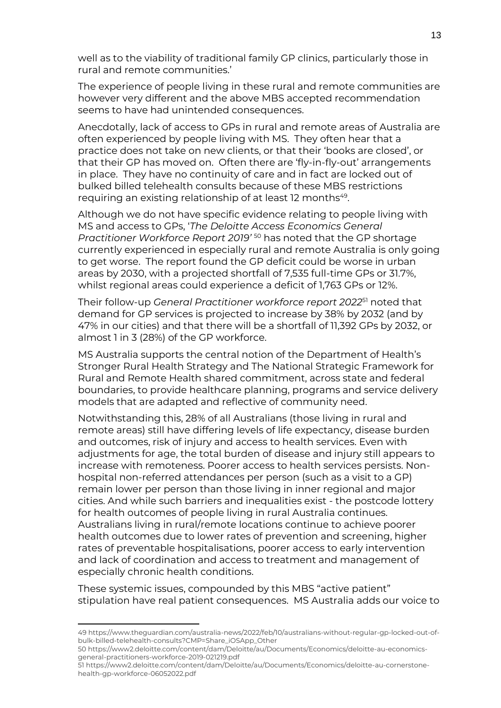well as to the viability of traditional family GP clinics, particularly those in rural and remote communities.'

The experience of people living in these rural and remote communities are however very different and the above MBS accepted recommendation seems to have had unintended consequences.

Anecdotally, lack of access to GPs in rural and remote areas of Australia are often experienced by people living with MS. They often hear that a practice does not take on new clients, or that their 'books are closed', or that their GP has moved on. Often there are 'fly-in-fly-out' arrangements in place. They have no continuity of care and in fact are locked out of bulked billed telehealth consults because of these MBS restrictions requiring an existing relationship of at least 12 months<sup>49</sup>.

Although we do not have specific evidence relating to people living with MS and access to GPs, '*The Deloitte Access Economics General Practitioner Workforce Report 2019'* <sup>50</sup> has noted that the GP shortage currently experienced in especially rural and remote Australia is only going to get worse. The report found the GP deficit could be worse in urban areas by 2030, with a projected shortfall of 7,535 full-time GPs or 31.7%, whilst regional areas could experience a deficit of 1,763 GPs or 12%.

Their follow-up *General Practitioner workforce report 2022*<sup>51</sup> noted that demand for GP services is projected to increase by 38% by 2032 (and by 47% in our cities) and that there will be a shortfall of 11,392 GPs by 2032, or almost 1 in 3 (28%) of the GP workforce.

MS Australia supports the central notion of the Department of Health's Stronger Rural Health Strategy and The National Strategic Framework for Rural and Remote Health shared commitment, across state and federal boundaries, to provide healthcare planning, programs and service delivery models that are adapted and reflective of community need.

Notwithstanding this, 28% of all Australians (those living in rural and remote areas) still have differing levels of life expectancy, disease burden and outcomes, risk of injury and access to health services. Even with adjustments for age, the total burden of disease and injury still appears to increase with remoteness. Poorer access to health services persists. Nonhospital non-referred attendances per person (such as a visit to a GP) remain lower per person than those living in inner regional and major cities. And while such barriers and inequalities exist - the postcode lottery for health outcomes of people living in rural Australia continues. Australians living in rural/remote locations continue to achieve poorer health outcomes due to lower rates of prevention and screening, higher rates of preventable hospitalisations, poorer access to early intervention and lack of coordination and access to treatment and management of especially chronic health conditions.

These systemic issues, compounded by this MBS "active patient" stipulation have real patient consequences. MS Australia adds our voice to

<sup>49</sup> [https://www.theguardian.com/australia-news/2022/feb/10/australians-without-regular-gp-locked-out-of](https://www.theguardian.com/australia-news/2022/feb/10/australians-without-regular-gp-locked-out-of-bulk-billed-telehealth-consults?CMP=Share_iOSApp_Other)[bulk-billed-telehealth-consults?CMP=Share\\_iOSApp\\_Other](https://www.theguardian.com/australia-news/2022/feb/10/australians-without-regular-gp-locked-out-of-bulk-billed-telehealth-consults?CMP=Share_iOSApp_Other)

<sup>50</sup> https://www2.deloitte.com/content/dam/Deloitte/au/Documents/Economics/deloitte-au-economicsgeneral-practitioners-workforce-2019-021219.pdf

<sup>51</sup> https://www2.deloitte.com/content/dam/Deloitte/au/Documents/Economics/deloitte-au-cornerstonehealth-gp-workforce-06052022.pdf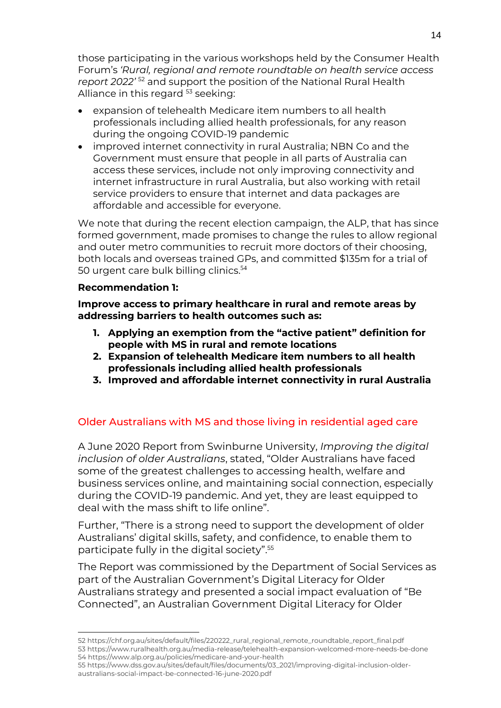those participating in the various workshops held by the Consumer Health Forum's *'Rural, regional and remote roundtable on health service access report 2022'* <sup>52</sup> and support the position of the National Rural Health Alliance in this regard <sup>53</sup> seeking:

- expansion of telehealth Medicare item numbers to all health professionals including allied health professionals, for any reason during the ongoing COVID-19 pandemic
- improved internet connectivity in rural Australia; NBN Co and the Government must ensure that people in all parts of Australia can access these services, include not only improving connectivity and internet infrastructure in rural Australia, but also working with retail service providers to ensure that internet and data packages are affordable and accessible for everyone.

We note that during the recent election campaign, the ALP, that has since formed government, made promises to change the rules to allow regional and outer metro communities to recruit more doctors of their choosing, both locals and overseas trained GPs, and committed \$135m for a trial of 50 urgent care bulk billing clinics.<sup>54</sup>

### **Recommendation 1:**

**Improve access to primary healthcare in rural and remote areas by addressing barriers to health outcomes such as:**

- **1. Applying an exemption from the "active patient" definition for people with MS in rural and remote locations**
- **2. Expansion of telehealth Medicare item numbers to all health professionals including allied health professionals**
- **3. Improved and affordable internet connectivity in rural Australia**

### Older Australians with MS and those living in residential aged care

A June 2020 Report from Swinburne University, *Improving the digital inclusion of older Australians*, stated, "Older Australians have faced some of the greatest challenges to accessing health, welfare and business services online, and maintaining social connection, especially during the COVID-19 pandemic. And yet, they are least equipped to deal with the mass shift to life online".

Further, "There is a strong need to support the development of older Australians' digital skills, safety, and confidence, to enable them to participate fully in the digital society".<sup>55</sup>

The Report was commissioned by the Department of Social Services as part of the Australian Government's Digital Literacy for Older Australians strategy and presented a social impact evaluation of "Be Connected", an Australian Government Digital Literacy for Older

55 https://www.dss.gov.au/sites/default/files/documents/03\_2021/improving-digital-inclusion-olderaustralians-social-impact-be-connected-16-june-2020.pdf

<sup>52</sup> [https://chf.org.au/sites/default/files/220222\\_rural\\_regional\\_remote\\_roundtable\\_report\\_final.pdf](https://chf.org.au/sites/default/files/220222_rural_regional_remote_roundtable_report_final.pdf) 53 https://www.ruralhealth.org.au/media-release/telehealth-expansion-welcomed-more-needs-be-done 54 https://www.alp.org.au/policies/medicare-and-your-health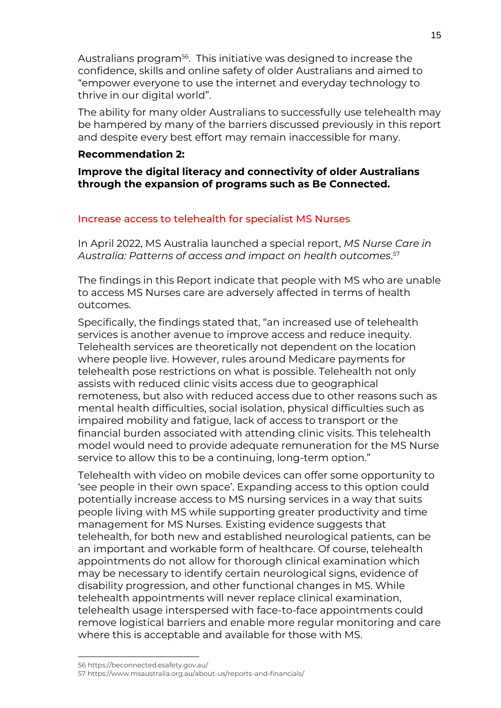Australians program<sup>56</sup> . This initiative was designed to increase the confidence, skills and online safety of older Australians and aimed to "empower everyone to use the internet and everyday technology to thrive in our digital world".

The ability for many older Australians to successfully use telehealth may be hampered by many of the barriers discussed previously in this report and despite every best effort may remain inaccessible for many.

### **Recommendation 2:**

**Improve the digital literacy and connectivity of older Australians through the expansion of programs such as Be Connected.**

### Increase access to telehealth for specialist MS Nurses

In April 2022, MS Australia launched a special report, *MS Nurse Care in Australia: Patterns of access and impact on health outcomes*. 57

The findings in this Report indicate that people with MS who are unable to access MS Nurses care are adversely affected in terms of health outcomes.

Specifically, the findings stated that, "an increased use of telehealth services is another avenue to improve access and reduce inequity. Telehealth services are theoretically not dependent on the location where people live. However, rules around Medicare payments for telehealth pose restrictions on what is possible. Telehealth not only assists with reduced clinic visits access due to geographical remoteness, but also with reduced access due to other reasons such as mental health difficulties, social isolation, physical difficulties such as impaired mobility and fatigue, lack of access to transport or the financial burden associated with attending clinic visits. This telehealth model would need to provide adequate remuneration for the MS Nurse service to allow this to be a continuing, long-term option."

Telehealth with video on mobile devices can offer some opportunity to 'see people in their own space'. Expanding access to this option could potentially increase access to MS nursing services in a way that suits people living with MS while supporting greater productivity and time management for MS Nurses. Existing evidence suggests that telehealth, for both new and established neurological patients, can be an important and workable form of healthcare. Of course, telehealth appointments do not allow for thorough clinical examination which may be necessary to identify certain neurological signs, evidence of disability progression, and other functional changes in MS. While telehealth appointments will never replace clinical examination, telehealth usage interspersed with face-to-face appointments could remove logistical barriers and enable more regular monitoring and care where this is acceptable and available for those with MS.

<sup>56</sup> https://beconnected.esafety.gov.au/

<sup>57</sup> https://www.msaustralia.org.au/about-us/reports-and-financials/